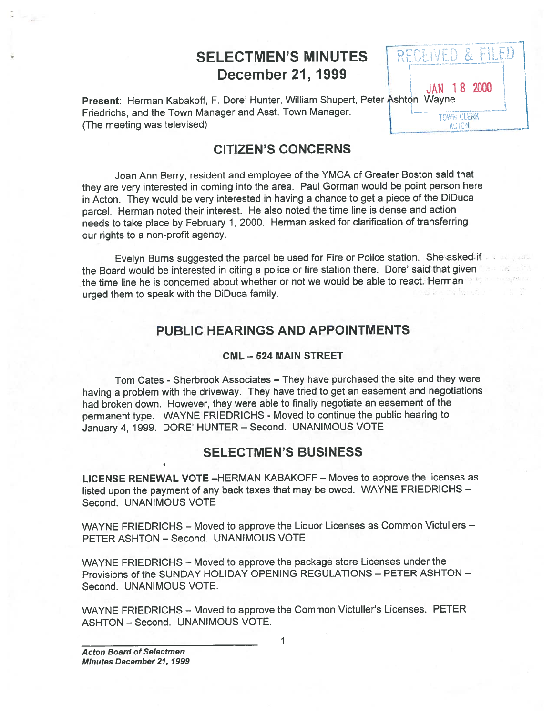# SELECTMEN'S MINUTES **RECEIVED & FILED** December 21, 1999

JAN 182000

**ACTON** 

Present: Herman Kabakoff, F. Dore' Hunter, William Shupert, Peter Ashton, Wayne Friedrichs, and the Town Manager and Asst. Town Manager. (The meeting was televised)

### CITIZEN'S CONCERNS

Joan Ann Berry, resident and employee of the YMCA of Greater Boston said that they are very interested in coming into the area. Paul Gorman would be point person here in Acton. They would be very interested in having <sup>a</sup> chance to ge<sup>t</sup> <sup>a</sup> <sup>p</sup>iece of the DiDuca parcel. Herman noted their interest. He also noted the time line is dense and action needs to take <sup>p</sup>lace by February 1, 2000. Herman asked for clarification of transferring our rights to <sup>a</sup> non-profit agency.

Evelyn Burns suggested the parcel be used for Fire or Police station. She asked-ifthe Board would be interested in citing <sup>a</sup> police or fire station there. Dore' said that <sup>g</sup>iven the time line he is concerned about whether or not we would be able to react. Herman urge<sup>d</sup> them to spea<sup>k</sup> with the DiDuca family.

### PUBLIC HEARINGS AND APPOINTMENTS

#### CML — 524 MAIN STREET

Tom Cates - Sherbrook Associates – They have purchased the site and they were having <sup>a</sup> problem with the driveway. They have tried to ge<sup>t</sup> an easement and negotiations had broken down. However, they were able to finally negotiate an easement of the permanent type. WAYNE FRIEDRICHS - Moved to continue the public hearing to January 4, 1999. DORE' HUNTER — Second. UNANIMOUS VOTE

### SELECTMEN'S BUSINESS

LICENSE RENEWAL VOTE —HERMAN KABAKOFF — Moves to approve the licenses as listed upon the paymen<sup>t</sup> of any back taxes that may be owed. WAYNE FRIEDRICHS — Second. UNANIMOUS VOTE

WAYNE FRIEDRICHS — Moved to approve the Liquor Licenses as Common Victullers — PETER ASHTON — Second. UNANIMOUS VOTE

WAYNE FRIEDRICHS — Moved to approve the package store Licenses under the Provisions of the SUNDAY HOLIDAY OPENING REGULATIONS — PETER ASHTON — Second. UNANIMOUS VOTE.

WAYNE FRIEDRICHS — Moved to approve the Common Victuller's Licenses. PETER ASHTON — Second. UNANIMOUS VOTE.

1

**Acton Board of Selectmen** Minutes December 21, 1999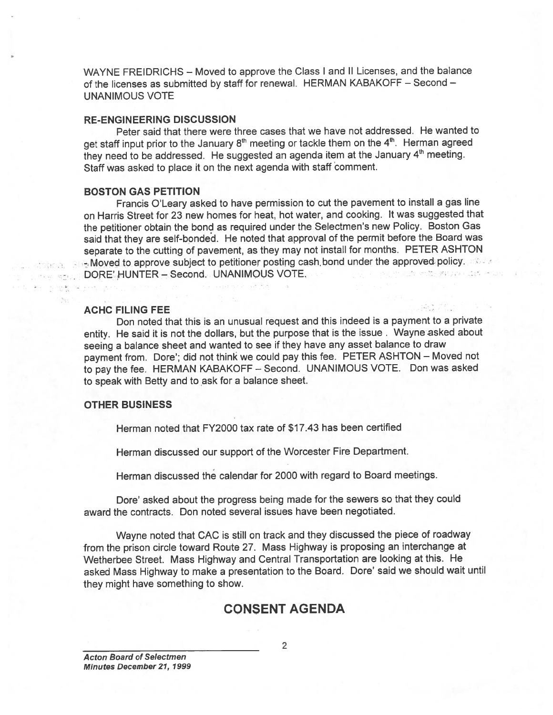WAYNE FREIDRICHS — Moved to approve the Class <sup>I</sup> and II Licenses, and the balance of the licenses as submitted by staff for renewal. HERMAN KABAKOFF — Second — UNANIMOUS VOTE

#### RE-ENGINEERING DISCUSSION

Peter said that there were three cases that we have not addressed. He wanted to get staff input prior to the January 8<sup>th</sup> meeting or tackle them on the 4<sup>th</sup>. Herman agreed they need to be addressed. He suggested an agenda item at the January 4<sup>th</sup> meeting. Staff was asked to place it on the next agenda with staff comment.

#### BOSTON GAS PETITION

Francis O'Leary asked to have permission to cut the pavemen<sup>t</sup> to install <sup>a</sup> gas line on Harris Street for 23 new homes for heat, hot water, and cooking. It was suggested that the petitioner obtain the bond as required under the Selectmen's new Policy. Boston Gas said that they are self-bonded. He noted that approva<sup>l</sup> of the permit before the Board was separate to the cutting of pavement, as they may not install for months. PETER ASHTON - Moved to approve subject to petitioner posting cash bond under the approved policy. DORE' HUNTER — Second. UNANIMOUS VOTE. Life antiques and life.

#### ACHC FILING FEE

Don noted that this is an unusual reques<sup>t</sup> and this indeed is <sup>a</sup> paymen<sup>t</sup> to <sup>a</sup> private entity. He said it is not the dollars, but the purpose that is the issue. Wayne asked about seeing <sup>a</sup> balance sheet and wanted to see if they have any asset balance to draw paymen<sup>t</sup> from. Dore'; did not think we could pay this fee. PETER ASHTON — Moved not to pay the fee. HERMAN KABAKOFF — Second. UNANIMOUS VOTE. Don was asked to spea<sup>k</sup> with Betty and to ask for <sup>a</sup> balance sheet.

#### OTHER BUSINESS

Herman noted that FY2000 tax rate of \$17.43 has been certified

Herman discussed our suppor<sup>t</sup> of the Worcester Fire Department.

Herman discussed the calendar for 2000 with regard to Board meetings.

Dore' asked about the progress being made for the sewers so that they could award the contracts. Don noted several issues have been negotiated.

Wayne noted that CAC is still on track and they discussed the <sup>p</sup>iece of roadway from the prison circle toward Route 27. Mass Highway is proposing an interchange at Wetherbee Street. Mass Highway and Central Transportation are looking at this. He asked Mass Highway to make <sup>a</sup> presentation to the Board. Dore' said we should wait until they might have something to show.

### CONSENT AGENDA

Acton Board of Selectmen Minutes December 21, 1999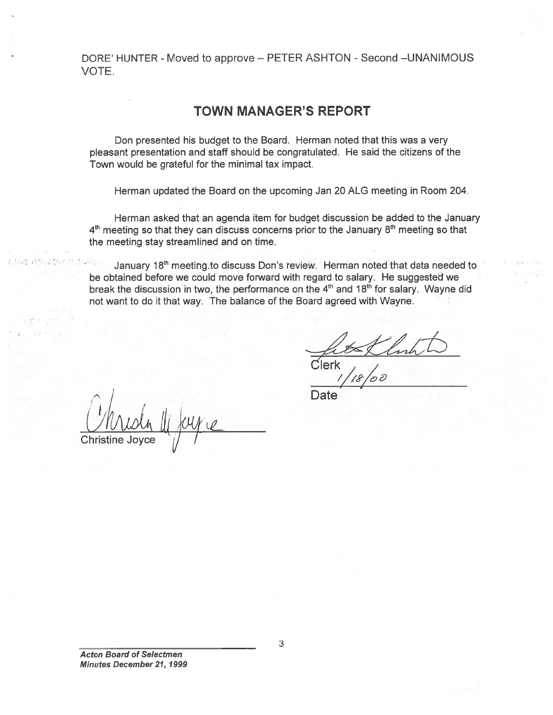DORE' HUNTER - Moved to approve - PETER ASHTON - Second - UNANIMOUS VOTE.

### TOWN MANAGER'S REPORT

Don presented his budget to the Board. Herman noted that this was <sup>a</sup> very pleasant presentation and staff should be congratulated. He said the citizens of the Town would be grateful for the minimal tax impact.

Herman updated the Board on the upcoming Jan 20 ALG meeting in Room 204.

Herman asked that an agenda item for budget discussion be added to the January  $4<sup>th</sup>$  meeting so that they can discuss concerns prior to the January  $8<sup>th</sup>$  meeting so that the meeting stay streamlined and on time.

真白 January 18<sup>th</sup> meeting.to discuss Don's review. Herman noted that data needed to be obtained before we could move forward with regard to salary. He suggested we break the discussion in two, the performance on the  $4<sup>th</sup>$  and  $18<sup>th</sup>$  for salary. Wayne did not want to do it that way. The balance of the Board agreed with Wayne.

Clerk  $/$  /

**I** Date  $\bigcup^{\mathbf{I}}$ Christine Joyce  $\frac{1}{2}$  /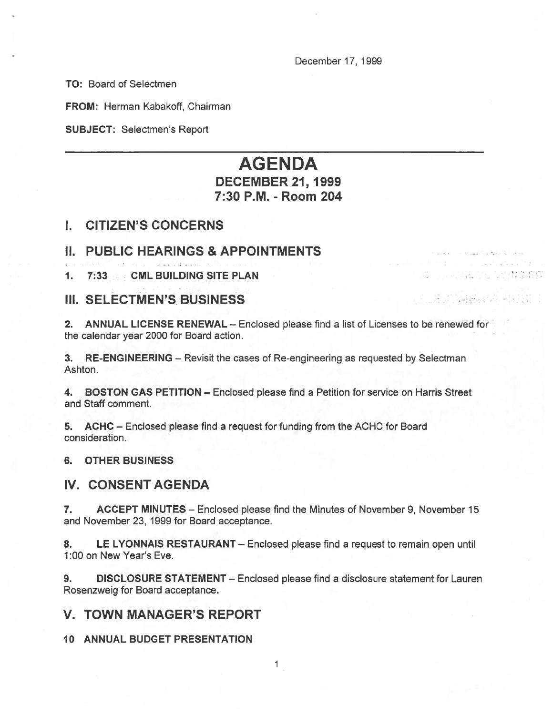December 17, 1999

**ALL IS SONG THE** 

그렇게 물을 먹는 것

TO: Board of Selectmen

FROM: Herman Kabakoff, Chairman

SUBJECT: Selectmen's Report

## AGENDA DECEMBER 21, 1999 7:30 P.M. - Room 204

### I. CITIZEN'S CONCERNS

### II. PUBLIC HEARINGS & APPOINTMENTS

1. 7:33 CML BUILDING SITE PLAN

### III. SELECTMEN'S BUSINESS

2. ANNUAL LICENSE RENEWAL — Enclosed please find <sup>a</sup> list of Licenses to be renewed for the calendar year 2000 for Board action.

3. RE-ENGINEERING — Revisit the cases of Re-engineering as requested by Selectman Ashton.

4. BOSTON GAS PETITION — Enclosed please find <sup>a</sup> Petition for service on Harris Street and Staff comment.

5. ACHC — Enclosed please find <sup>a</sup> reques<sup>t</sup> for funding from the ACHC for Board consideration.

#### 6. OTHER BUSINESS

#### IV. CONSENT AGENDA

7. ACCEPT MINUTES – Enclosed please find the Minutes of November 9, November 15 and November 23, 1999 for Board acceptance.

8. LE LYONNAIS RESTAURANT – Enclosed please find a request to remain open until 1:00 on New Year's Eve.

9. DISCLOSURE STATEMENT — Enclosed please find <sup>a</sup> disclosure statement for Lauren Rosenzweig for Board acceptance.

### V. TOWN MANAGER'S REPORT

10 ANNUAL BUDGET PRESENTATION